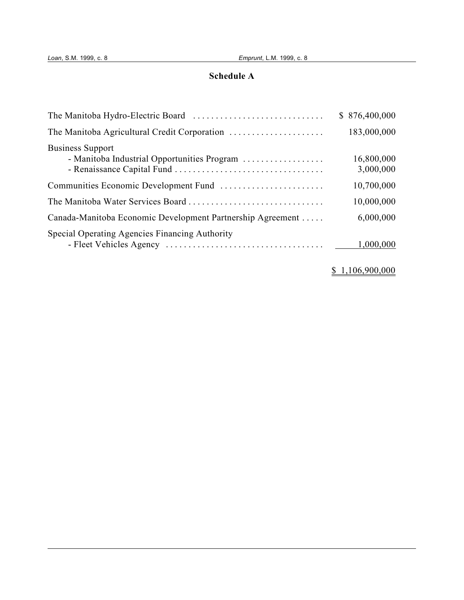## **Schedule A**

|                                                                        | \$876,400,000           |
|------------------------------------------------------------------------|-------------------------|
| The Manitoba Agricultural Credit Corporation                           | 183,000,000             |
| <b>Business Support</b><br>- Manitoba Industrial Opportunities Program | 16,800,000<br>3,000,000 |
|                                                                        | 10,700,000              |
|                                                                        | 10,000,000              |
| Canada-Manitoba Economic Development Partnership Agreement             | 6,000,000               |
| Special Operating Agencies Financing Authority                         | 1,000,000               |

## \$ 1,106,900,000